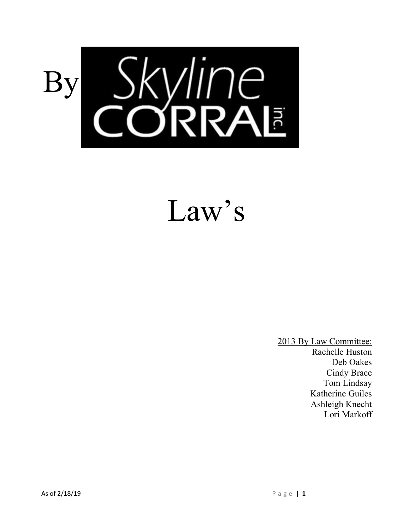

# Law's

2013 By Law Committee: Rachelle Huston Deb Oakes Cindy Brace Tom Lindsay Katherine Guiles Ashleigh Knecht Lori Markoff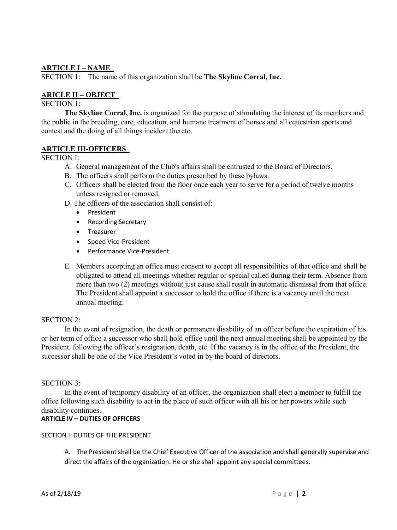#### **ARTICLE I – NAME**

SECTION 1: The name of this organization shall be **The Skyline Corral, Inc.** 

#### **ARICLE II – OBJECT**

#### SECTION 1:

**The Skyline Corral, Inc.** is organized for the purpose of stimulating the interest of its members and the public in the breeding, care, education, and humane treatment of horses and all equestrian sports and contest and the doing of all things incident thereto.

#### **ARTICLE III-OFFICERS**

#### SECTION I:

- A. General management of the Club's affairs shall be entrusted to the Board of Directors.
- B. The officers shall perform the duties prescribed by these bylaws.
- C. Officers shall be elected from the floor once each year to serve for a period of twelve months unless resigned or removed.
- D. The officers of the association shall consist of:
	- President
	- Recording Secretary
	- Treasurer
	- Speed Vice-President
	- Performance Vice-President
- E. Members accepting an office must consent to accept all responsibilities of that office and shall be obligated to attend all meetings whether regular or special called during their term. Absence from more than two (2) meetings without just cause shall result in automatic dismissal from that office. The President shall appoint a successor to hold the office if there is a vacancy until the next annual meeting.

#### SECTION 2:

In the event of resignation, the death or permanent disability of an officer before the expiration of his or her term of office a successor who shall hold office until the next annual meeting shall be appointed by the President, following the officer's resignation, death, etc. If the vacancy is in the office of the President, the successor shall be one of the Vice President's voted in by the board of directors.

#### SECTION 3:

In the event of temporary disability of an officer, the organization shall elect a member to fulfill the office following such disability to act in the place of such officer with all his or her powers while such disability continues.

#### **ARTICLE IV – DUTIES OF OFFICERS**

#### SECTION I: DUTIES OF THE PRESIDENT

A. The President shall be the Chief Executive Officer of the association and shall generally supervise and direct the affairs of the organization. He or she shall appoint any special committees.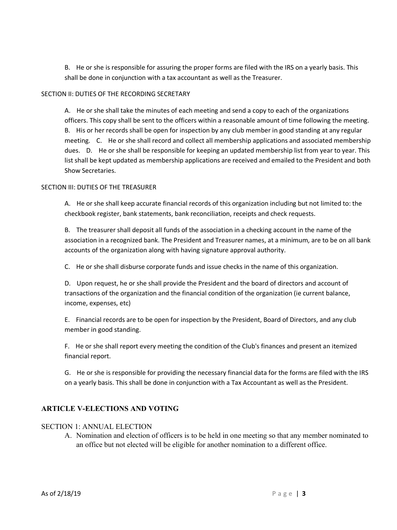B. He or she is responsible for assuring the proper forms are filed with the IRS on a yearly basis. This shall be done in conjunction with a tax accountant as well as the Treasurer.

#### SECTION II: DUTIES OF THE RECORDING SECRETARY

A. He or she shall take the minutes of each meeting and send a copy to each of the organizations officers. This copy shall be sent to the officers within a reasonable amount of time following the meeting. B. His or her records shall be open for inspection by any club member in good standing at any regular meeting. C. He or she shall record and collect all membership applications and associated membership dues. D. He or she shall be responsible for keeping an updated membership list from year to year. This list shall be kept updated as membership applications are received and emailed to the President and both Show Secretaries.

#### SECTION III: DUTIES OF THE TREASURER

A. He or she shall keep accurate financial records of this organization including but not limited to: the checkbook register, bank statements, bank reconciliation, receipts and check requests.

B. The treasurer shall deposit all funds of the association in a checking account in the name of the association in a recognized bank. The President and Treasurer names, at a minimum, are to be on all bank accounts of the organization along with having signature approval authority.

C. He or she shall disburse corporate funds and issue checks in the name of this organization.

D. Upon request, he or she shall provide the President and the board of directors and account of transactions of the organization and the financial condition of the organization (ie current balance, income, expenses, etc)

E. Financial records are to be open for inspection by the President, Board of Directors, and any club member in good standing.

F. He or she shall report every meeting the condition of the Club's finances and present an itemized financial report.

G. He or she is responsible for providing the necessary financial data for the forms are filed with the IRS on a yearly basis. This shall be done in conjunction with a Tax Accountant as well as the President.

#### **ARTICLE V-ELECTIONS AND VOTING**

#### SECTION 1: ANNUAL ELECTION

A. Nomination and election of officers is to be held in one meeting so that any member nominated to an office but not elected will be eligible for another nomination to a different office.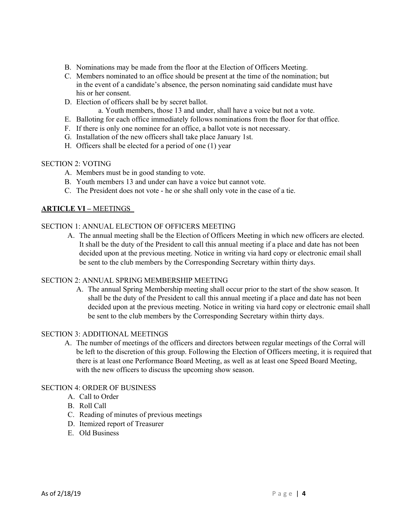- B. Nominations may be made from the floor at the Election of Officers Meeting.
- C. Members nominated to an office should be present at the time of the nomination; but in the event of a candidate's absence, the person nominating said candidate must have his or her consent.
- D. Election of officers shall be by secret ballot.
	- a. Youth members, those 13 and under, shall have a voice but not a vote.
- E. Balloting for each office immediately follows nominations from the floor for that office.
- F. If there is only one nominee for an office, a ballot vote is not necessary.
- G. Installation of the new officers shall take place January 1st.
- H. Officers shall be elected for a period of one (1) year

#### SECTION 2: VOTING

- A. Members must be in good standing to vote.
- B. Youth members 13 and under can have a voice but cannot vote.
- C. The President does not vote he or she shall only vote in the case of a tie.

#### **ARTICLE VI –** MEETINGS

#### SECTION 1: ANNUAL ELECTION OF OFFICERS MEETING

A. The annual meeting shall be the Election of Officers Meeting in which new officers are elected. It shall be the duty of the President to call this annual meeting if a place and date has not been decided upon at the previous meeting. Notice in writing via hard copy or electronic email shall be sent to the club members by the Corresponding Secretary within thirty days.

#### SECTION 2: ANNUAL SPRING MEMBERSHIP MEETING

A. The annual Spring Membership meeting shall occur prior to the start of the show season. It shall be the duty of the President to call this annual meeting if a place and date has not been decided upon at the previous meeting. Notice in writing via hard copy or electronic email shall be sent to the club members by the Corresponding Secretary within thirty days.

#### SECTION 3: ADDITIONAL MEETINGS

A. The number of meetings of the officers and directors between regular meetings of the Corral will be left to the discretion of this group. Following the Election of Officers meeting, it is required that there is at least one Performance Board Meeting, as well as at least one Speed Board Meeting, with the new officers to discuss the upcoming show season.

#### SECTION 4: ORDER OF BUSINESS

- A. Call to Order
- B. Roll Call
- C. Reading of minutes of previous meetings
- D. Itemized report of Treasurer
- E. Old Business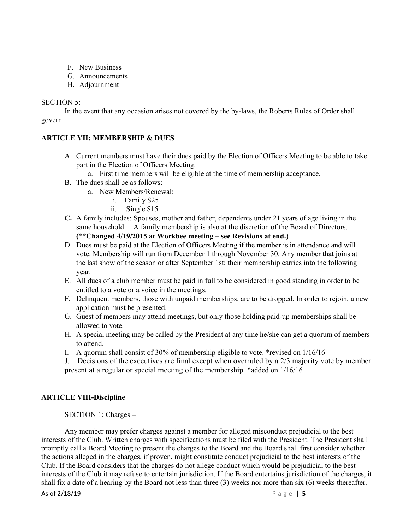- F. New Business
- G. Announcements
- H. Adjournment

#### SECTION 5:

In the event that any occasion arises not covered by the by-laws, the Roberts Rules of Order shall govern.

## **ARTICLE VII: MEMBERSHIP & DUES**

A. Current members must have their dues paid by the Election of Officers Meeting to be able to take part in the Election of Officers Meeting.

a. First time members will be eligible at the time of membership acceptance.

- B. The dues shall be as follows:
	- a. New Members/Renewal:
		- i. Family \$25
		- ii. Single \$15
- **C.** A family includes: Spouses, mother and father, dependents under 21 years of age living in the same household. A family membership is also at the discretion of the Board of Directors. **(\*\*Changed 4/19/2015 at Workbee meeting – see Revisions at end.)**
- D. Dues must be paid at the Election of Officers Meeting if the member is in attendance and will vote. Membership will run from December 1 through November 30. Any member that joins at the last show of the season or after September 1st; their membership carries into the following year.
- E. All dues of a club member must be paid in full to be considered in good standing in order to be entitled to a vote or a voice in the meetings.
- F. Delinquent members, those with unpaid memberships, are to be dropped. In order to rejoin, a new application must be presented.
- G. Guest of members may attend meetings, but only those holding paid-up memberships shall be allowed to vote.
- H. A special meeting may be called by the President at any time he/she can get a quorum of members to attend.
- I. A quorum shall consist of 30% of membership eligible to vote. \*revised on 1/16/16
- J. Decisions of the executives are final except when overruled by a 2/3 majority vote by member present at a regular or special meeting of the membership. \*added on 1/16/16

## **ARTICLE VIII-Discipline**

## SECTION 1: Charges –

Any member may prefer charges against a member for alleged misconduct prejudicial to the best interests of the Club. Written charges with specifications must be filed with the President. The President shall promptly call a Board Meeting to present the charges to the Board and the Board shall first consider whether the actions alleged in the charges, if proven, might constitute conduct prejudicial to the best interests of the Club. If the Board considers that the charges do not allege conduct which would be prejudicial to the best interests of the Club it may refuse to entertain jurisdiction. If the Board entertains jurisdiction of the charges, it shall fix a date of a hearing by the Board not less than three (3) weeks nor more than six (6) weeks thereafter.

As of 2/18/19 Page | **5**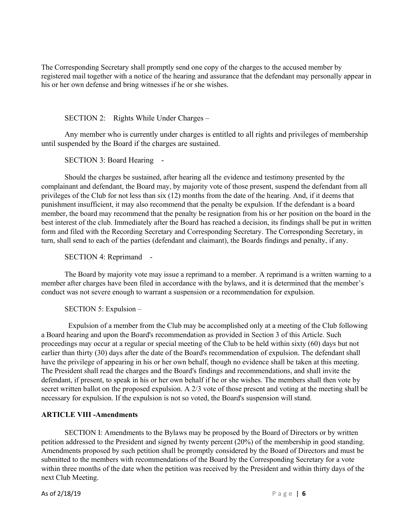The Corresponding Secretary shall promptly send one copy of the charges to the accused member by registered mail together with a notice of the hearing and assurance that the defendant may personally appear in his or her own defense and bring witnesses if he or she wishes.

SECTION 2: Rights While Under Charges –

Any member who is currently under charges is entitled to all rights and privileges of membership until suspended by the Board if the charges are sustained.

SECTION 3: Board Hearing -

Should the charges be sustained, after hearing all the evidence and testimony presented by the complainant and defendant, the Board may, by majority vote of those present, suspend the defendant from all privileges of the Club for not less than six (12) months from the date of the hearing. And, if it deems that punishment insufficient, it may also recommend that the penalty be expulsion. If the defendant is a board member, the board may recommend that the penalty be resignation from his or her position on the board in the best interest of the club. Immediately after the Board has reached a decision, its findings shall be put in written form and filed with the Recording Secretary and Corresponding Secretary. The Corresponding Secretary, in turn, shall send to each of the parties (defendant and claimant), the Boards findings and penalty, if any.

SECTION 4: Reprimand -

The Board by majority vote may issue a reprimand to a member. A reprimand is a written warning to a member after charges have been filed in accordance with the bylaws, and it is determined that the member's conduct was not severe enough to warrant a suspension or a recommendation for expulsion.

SECTION 5: Expulsion –

Expulsion of a member from the Club may be accomplished only at a meeting of the Club following a Board hearing and upon the Board's recommendation as provided in Section 3 of this Article. Such proceedings may occur at a regular or special meeting of the Club to be held within sixty (60) days but not earlier than thirty (30) days after the date of the Board's recommendation of expulsion. The defendant shall have the privilege of appearing in his or her own behalf, though no evidence shall be taken at this meeting. The President shall read the charges and the Board's findings and recommendations, and shall invite the defendant, if present, to speak in his or her own behalf if he or she wishes. The members shall then vote by secret written ballot on the proposed expulsion. A 2/3 vote of those present and voting at the meeting shall be necessary for expulsion. If the expulsion is not so voted, the Board's suspension will stand.

## **ARTICLE VIII -Amendments**

SECTION I: Amendments to the Bylaws may be proposed by the Board of Directors or by written petition addressed to the President and signed by twenty percent (20%) of the membership in good standing. Amendments proposed by such petition shall be promptly considered by the Board of Directors and must be submitted to the members with recommendations of the Board by the Corresponding Secretary for a vote within three months of the date when the petition was received by the President and within thirty days of the next Club Meeting.

As of 2/18/19 Page | **6**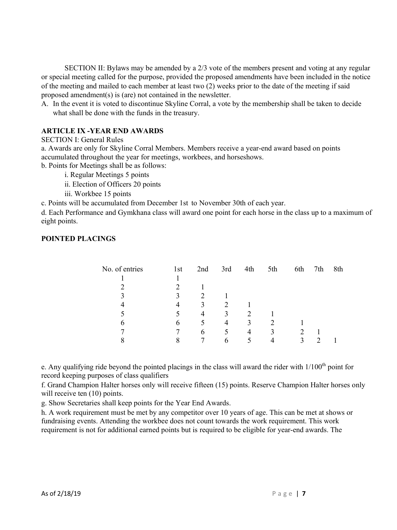SECTION II: Bylaws may be amended by a 2/3 vote of the members present and voting at any regular or special meeting called for the purpose, provided the proposed amendments have been included in the notice of the meeting and mailed to each member at least two (2) weeks prior to the date of the meeting if said proposed amendment(s) is (are) not contained in the newsletter.

A. In the event it is voted to discontinue Skyline Corral, a vote by the membership shall be taken to decide what shall be done with the funds in the treasury.

### **ARTICLE IX -YEAR END AWARDS**

#### SECTION I: General Rules

a. Awards are only for Skyline Corral Members. Members receive a year-end award based on points accumulated throughout the year for meetings, workbees, and horseshows.

b. Points for Meetings shall be as follows:

i. Regular Meetings 5 points

ii. Election of Officers 20 points

iii. Workbee 15 points

c. Points will be accumulated from December 1st to November 30th of each year.

d. Each Performance and Gymkhana class will award one point for each horse in the class up to a maximum of eight points.

#### **POINTED PLACINGS**

| No. of entries | 1st | 2nd | 3rd | 4th | 5th           | 6th | 7th | 8th |
|----------------|-----|-----|-----|-----|---------------|-----|-----|-----|
|                |     |     |     |     |               |     |     |     |
|                |     |     |     |     |               |     |     |     |
|                |     |     |     |     |               |     |     |     |
| $\Delta$       | 4   | 3   | 2   |     |               |     |     |     |
|                |     | 4   | 3   | 2   |               |     |     |     |
| 6              | 6   | 5   | 4   | 3   | $\mathcal{P}$ |     |     |     |
|                |     | 6   | 5   | 4   | 3             | っ   |     |     |
| 8              | 8   |     | 6   |     |               | 3   |     |     |
|                |     |     |     |     |               |     |     |     |

e. Any qualifying ride beyond the pointed placings in the class will award the rider with 1/100<sup>th</sup> point for record keeping purposes of class qualifiers

f. Grand Champion Halter horses only will receive fifteen (15) points. Reserve Champion Halter horses only will receive ten  $(10)$  points.

g. Show Secretaries shall keep points for the Year End Awards.

h. A work requirement must be met by any competitor over 10 years of age. This can be met at shows or fundraising events. Attending the workbee does not count towards the work requirement. This work requirement is not for additional earned points but is required to be eligible for year-end awards. The